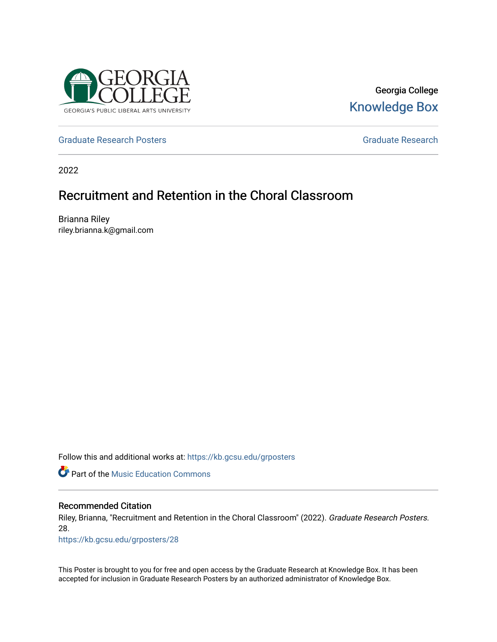

### Georgia College [Knowledge Box](https://kb.gcsu.edu/)

[Graduate Research Posters](https://kb.gcsu.edu/grposters) [Graduate Research](https://kb.gcsu.edu/gr) **Critical Critical Critical** Critical Critical Critical Critical Critical Critical Critical Critical Critical Critical Critical Critical Critical Critical Critical Critical Criti

2022

### Recruitment and Retention in the Choral Classroom

Brianna Riley riley.brianna.k@gmail.com

Follow this and additional works at: [https://kb.gcsu.edu/grposters](https://kb.gcsu.edu/grposters?utm_source=kb.gcsu.edu%2Fgrposters%2F28&utm_medium=PDF&utm_campaign=PDFCoverPages) 

*C* Part of the Music Education Commons

### Recommended Citation

Riley, Brianna, "Recruitment and Retention in the Choral Classroom" (2022). Graduate Research Posters. 28.

[https://kb.gcsu.edu/grposters/28](https://kb.gcsu.edu/grposters/28?utm_source=kb.gcsu.edu%2Fgrposters%2F28&utm_medium=PDF&utm_campaign=PDFCoverPages)

This Poster is brought to you for free and open access by the Graduate Research at Knowledge Box. It has been accepted for inclusion in Graduate Research Posters by an authorized administrator of Knowledge Box.